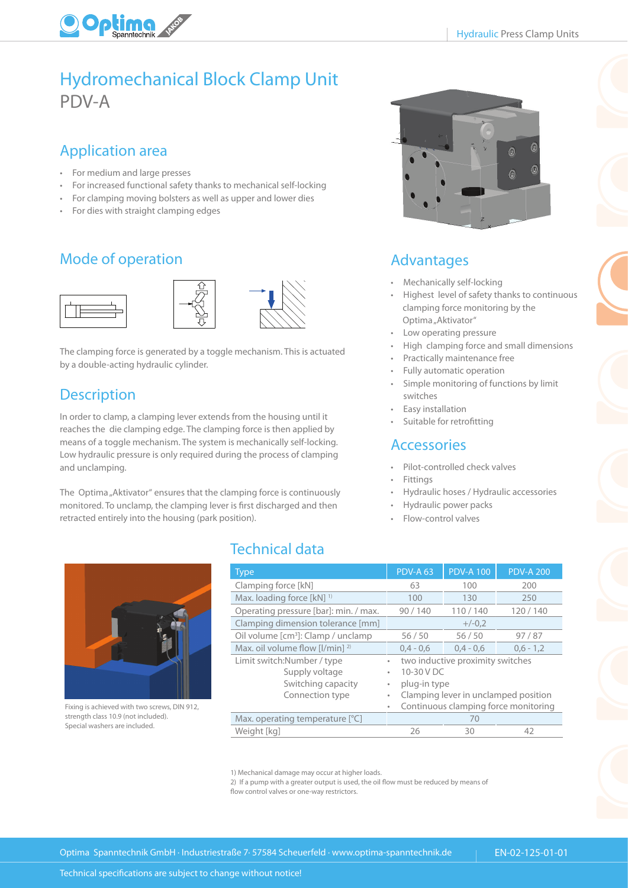

## Hydromechanical Block Clamp Unit PDV-A

#### Application area

- For medium and large presses
- For increased functional safety thanks to mechanical self-locking
- For clamping moving bolsters as well as upper and lower dies
- For dies with straight clamping edges

### Mode of operation







The clamping force is generated by a toggle mechanism. This is actuated by a double-acting hydraulic cylinder.

#### **Description**

In order to clamp, a clamping lever extends from the housing until it reaches the die clamping edge. The clamping force is then applied by means of a toggle mechanism. The system is mechanically self-locking. Low hydraulic pressure is only required during the process of clamping and unclamping.

The Optima "Aktivator" ensures that the clamping force is continuously monitored. To unclamp, the clamping lever is first discharged and then retracted entirely into the housing (park position).



#### Advantages

- Mechanically self-locking
- Highest level of safety thanks to continuous clamping force monitoring by the Optima "Aktivator"
- Low operating pressure
- High clamping force and small dimensions
- Practically maintenance free
- Fully automatic operation
- Simple monitoring of functions by limit switches
- Easy installation
- Suitable for retrofitting

#### **Accessories**

- Pilot-controlled check valves
- **Fittings**
- Hydraulic hoses / Hydraulic accessories
	- Hydraulic power packs
- Flow-control valves



Fixing is achieved with two screws, DIN 912, strength class 10.9 (not included). Special washers are included.

#### Technical data

|                                                                      | <b>Type</b>                                                                                                                                                                                                    | <b>PDV-A 63</b>                      | <b>PDV-A 100</b> | <b>PDV-A 200</b> |  |  |  |  |
|----------------------------------------------------------------------|----------------------------------------------------------------------------------------------------------------------------------------------------------------------------------------------------------------|--------------------------------------|------------------|------------------|--|--|--|--|
|                                                                      | Clamping force [kN]                                                                                                                                                                                            | 63                                   | 100              | 200              |  |  |  |  |
|                                                                      | Max. loading force [kN] <sup>1)</sup>                                                                                                                                                                          | 100                                  | 130              | 250              |  |  |  |  |
|                                                                      | Operating pressure [bar]: min. / max.                                                                                                                                                                          | 90/140                               | 110/140          | 120/140          |  |  |  |  |
|                                                                      | Clamping dimension tolerance [mm]<br>$+/-0.2$                                                                                                                                                                  |                                      |                  |                  |  |  |  |  |
|                                                                      | Oil volume [cm <sup>3</sup> ]: Clamp / unclamp                                                                                                                                                                 | 56/50                                | 56/50            | 97/87            |  |  |  |  |
|                                                                      | Max. oil volume flow $[1/\text{min}]$ <sup>2)</sup>                                                                                                                                                            | $0.4 - 0.6$                          | $0.4 - 0.6$      | $0,6 - 1,2$      |  |  |  |  |
|                                                                      | Limit switch:Number / type<br>two inductive proximity switches<br>۰<br>10-30 V DC<br>Supply voltage<br>٠<br>Switching capacity<br>plug-in type<br>۰<br>Clamping lever in unclamped position<br>Connection type |                                      |                  |                  |  |  |  |  |
| Fixing is achieved with two screws, DIN 912,                         |                                                                                                                                                                                                                | Continuous clamping force monitoring |                  |                  |  |  |  |  |
| strength class 10.9 (not included).<br>Special washers are included. | Max. operating temperature [°C]                                                                                                                                                                                |                                      | 70               |                  |  |  |  |  |
|                                                                      | Weight [kg]                                                                                                                                                                                                    | 26                                   | 30               | 42               |  |  |  |  |

1) Mechanical damage may occur at higher loads.

2) If a pump with a greater output is used, the oil flow must be reduced by means of flow control valves or one-way restrictors.